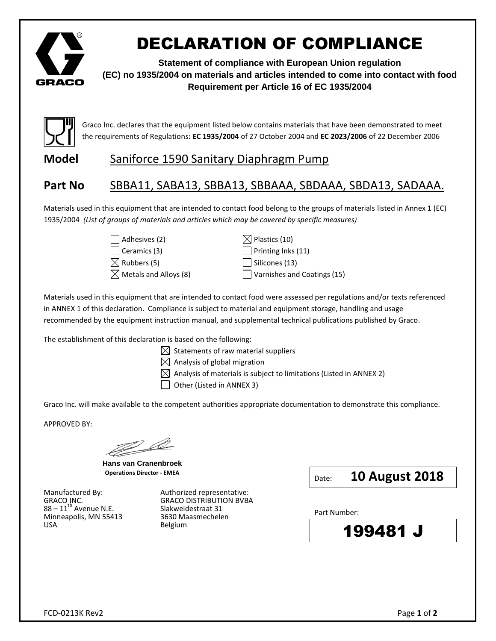

# DECLARATION OF COMPLIANCE

**Statement of compliance with European Union regulation (EC) no 1935/2004 on materials and articles intended to come into contact with food Requirement per Article 16 of EC 1935/2004**



Graco Inc. declares that the equipment listed below contains materials that have been demonstrated to meet the requirements of Regulations**: EC 1935/2004** of 27 October 2004 and **EC 2023/2006** of 22 December 2006

### **Model** Saniforce 1590 Sanitary Diaphragm Pump

## **Part No** SBBA11, SABA13, SBBA13, SBBAAA, SBDAAA, SBDA13, SADAAA.

Materials used in this equipment that are intended to contact food belong to the groups of materials listed in Annex 1 (EC) 1935/2004 *(List of groups of materials and articles which may be covered by specific measures)*

| $\Box$ Adhesives (2)            |
|---------------------------------|
| $\Box$ Ceramics (3)             |
| $\boxtimes$ Rubbers (5)         |
| $\boxtimes$ Metals and Alloys ( |

 $\boxtimes$  Plastics (10)  $\Box$  Printing Inks (11)  $\Box$  Silicones (13)  $\Box$  Varnishes and Coatings (15)

Materials used in this equipment that are intended to contact food were assessed per regulations and/or texts referenced in ANNEX 1 of this declaration. Compliance is subject to material and equipment storage, handling and usage recommended by the equipment instruction manual, and supplemental technical publications published by Graco.

The establishment of this declaration is based on the following:

- $\boxtimes$  Statements of raw material suppliers
- $\boxtimes$  Analysis of global migration
- $\boxtimes$  Analysis of materials is subject to limitations (Listed in ANNEX 2)
- | | Other (Listed in ANNEX 3)

Graco Inc. will make available to the competent authorities appropriate documentation to demonstrate this compliance.

APPROVED BY:

 $\mathbb{Z}^d$ 

**Hans van Cranenbroek Operations Director - EMEA**

Minneapolis, MN 55413 3630 Maasmechelen USA Belgium

Manufactured By:  $\frac{\text{Multlorized representative:}}{\text{GRACO DISTRIBUTION BVBA}}$ GRACO INC. GRACO DISTRIBUTION BVBA 88 – 11th Avenue N.E. Slakweidestraat 31

Date: **10 August 2018**

Part Number:

199481 J